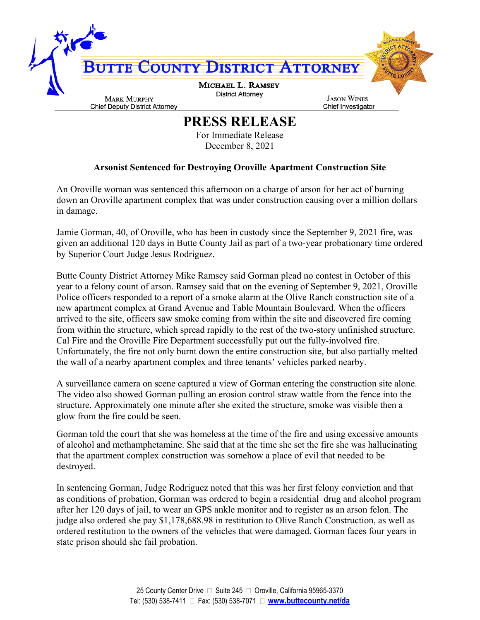

## **PRESS RELEASE**

For Immediate Release December 8, 2021

## **Arsonist Sentenced for Destroying Oroville Apartment Construction Site**

An Oroville woman was sentenced this afternoon on a charge of arson for her act of burning down an Oroville apartment complex that was under construction causing over a million dollars in damage.

Jamie Gorman, 40, of Oroville, who has been in custody since the September 9, 2021 fire, was given an additional 120 days in Butte County Jail as part of a two-year probationary time ordered by Superior Court Judge Jesus Rodriguez.

Butte County District Attorney Mike Ramsey said Gorman plead no contest in October of this year to a felony count of arson. Ramsey said that on the evening of September 9, 2021, Oroville Police officers responded to a report of a smoke alarm at the Olive Ranch construction site of a new apartment complex at Grand Avenue and Table Mountain Boulevard. When the officers arrived to the site, officers saw smoke coming from within the site and discovered fire coming from within the structure, which spread rapidly to the rest of the two-story unfinished structure. Cal Fire and the Oroville Fire Department successfully put out the fully-involved fire. Unfortunately, the fire not only burnt down the entire construction site, but also partially melted the wall of a nearby apartment complex and three tenants' vehicles parked nearby.

A surveillance camera on scene captured a view of Gorman entering the construction site alone. The video also showed Gorman pulling an erosion control straw wattle from the fence into the structure. Approximately one minute after she exited the structure, smoke was visible then a glow from the fire could be seen.

Gorman told the court that she was homeless at the time of the fire and using excessive amounts of alcohol and methamphetamine. She said that at the time she set the fire she was hallucinating that the apartment complex construction was somehow a place of evil that needed to be destroyed.

In sentencing Gorman, Judge Rodriguez noted that this was her first felony conviction and that as conditions of probation, Gorman was ordered to begin a residential drug and alcohol program after her 120 days of jail, to wear an GPS ankle monitor and to register as an arson felon. The judge also ordered she pay \$1,178,688.98 in restitution to Olive Ranch Construction, as well as ordered restitution to the owners of the vehicles that were damaged. Gorman faces four years in state prison should she fail probation.